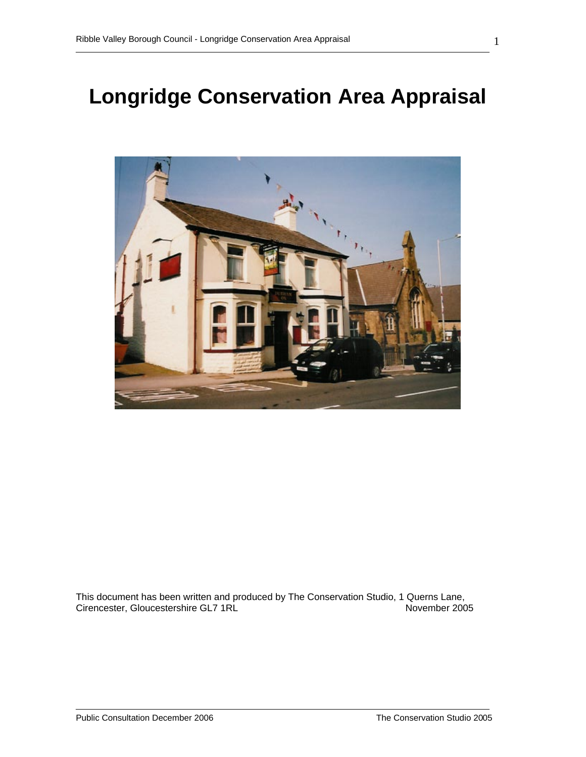# **Longridge Conservation Area Appraisal**



This document has been written and produced by The Conservation Studio, 1 Querns Lane, Cirencester, Gloucestershire GL7 1RL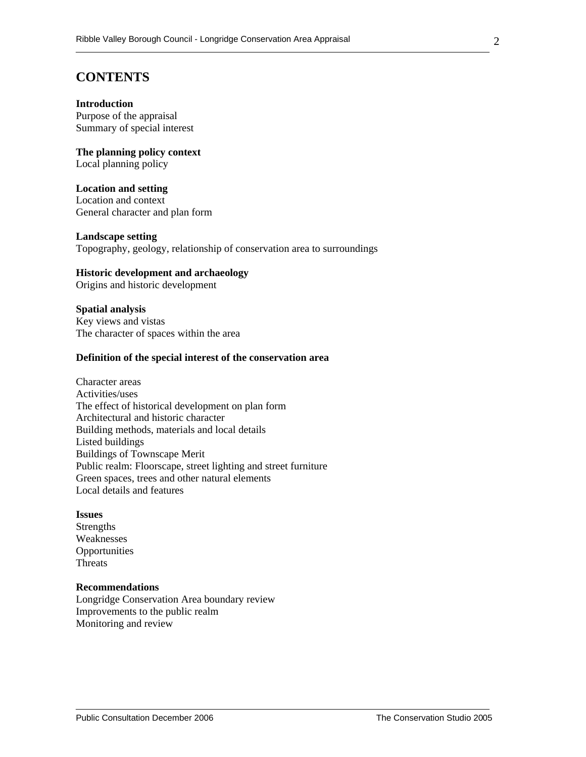# **CONTENTS**

#### **Introduction**

Purpose of the appraisal Summary of special interest

**The planning policy context**  Local planning policy

#### **Location and setting**  Location and context

General character and plan form

#### **Landscape setting**

Topography, geology, relationship of conservation area to surroundings

#### **Historic development and archaeology**

Origins and historic development

#### **Spatial analysis**

Key views and vistas The character of spaces within the area

#### **Definition of the special interest of the conservation area**

Character areas Activities/uses The effect of historical development on plan form Architectural and historic character Building methods, materials and local details Listed buildings Buildings of Townscape Merit Public realm: Floorscape, street lighting and street furniture Green spaces, trees and other natural elements Local details and features

#### **Issues**

Strengths Weaknesses **Opportunities** Threats

#### **Recommendations**

Longridge Conservation Area boundary review Improvements to the public realm Monitoring and review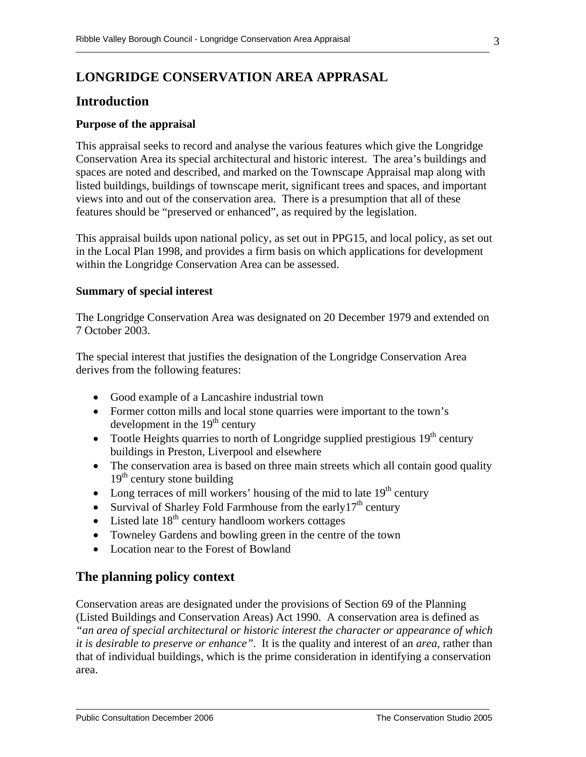# **LONGRIDGE CONSERVATION AREA APPRASAL**

# **Introduction**

#### **Purpose of the appraisal**

This appraisal seeks to record and analyse the various features which give the Longridge Conservation Area its special architectural and historic interest. The area's buildings and spaces are noted and described, and marked on the Townscape Appraisal map along with listed buildings, buildings of townscape merit, significant trees and spaces, and important views into and out of the conservation area. There is a presumption that all of these features should be "preserved or enhanced", as required by the legislation.

This appraisal builds upon national policy, as set out in PPG15, and local policy, as set out in the Local Plan 1998, and provides a firm basis on which applications for development within the Longridge Conservation Area can be assessed.

#### **Summary of special interest**

The Longridge Conservation Area was designated on 20 December 1979 and extended on 7 October 2003.

The special interest that justifies the designation of the Longridge Conservation Area derives from the following features:

- Good example of a Lancashire industrial town
- Former cotton mills and local stone quarries were important to the town's development in the  $19<sup>th</sup>$  century
- Tootle Heights quarries to north of Longridge supplied prestigious  $19<sup>th</sup>$  century buildings in Preston, Liverpool and elsewhere
- The conservation area is based on three main streets which all contain good quality  $19<sup>th</sup>$  century stone building
- Long terraces of mill workers' housing of the mid to late  $19<sup>th</sup>$  century
- Survival of Sharley Fold Farmhouse from the early $17<sup>th</sup>$  century
- Listed late  $18<sup>th</sup>$  century handloom workers cottages
- Towneley Gardens and bowling green in the centre of the town
- Location near to the Forest of Bowland

# **The planning policy context**

Conservation areas are designated under the provisions of Section 69 of the Planning (Listed Buildings and Conservation Areas) Act 1990. A conservation area is defined as *"an area of special architectural or historic interest the character or appearance of which it is desirable to preserve or enhance"*. It is the quality and interest of an *area*, rather than that of individual buildings, which is the prime consideration in identifying a conservation area.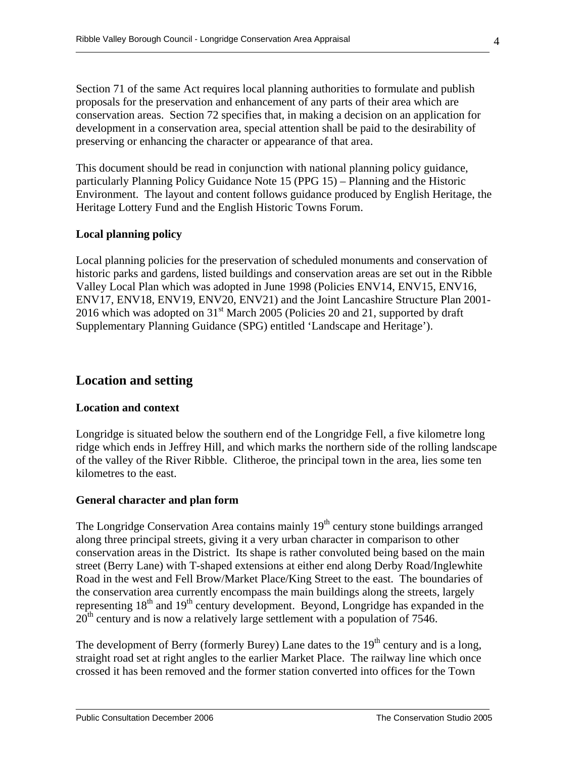Section 71 of the same Act requires local planning authorities to formulate and publish proposals for the preservation and enhancement of any parts of their area which are conservation areas. Section 72 specifies that, in making a decision on an application for development in a conservation area, special attention shall be paid to the desirability of preserving or enhancing the character or appearance of that area.

This document should be read in conjunction with national planning policy guidance, particularly Planning Policy Guidance Note 15 (PPG 15) – Planning and the Historic Environment. The layout and content follows guidance produced by English Heritage, the Heritage Lottery Fund and the English Historic Towns Forum.

## **Local planning policy**

Local planning policies for the preservation of scheduled monuments and conservation of historic parks and gardens, listed buildings and conservation areas are set out in the Ribble Valley Local Plan which was adopted in June 1998 (Policies ENV14, ENV15, ENV16, ENV17, ENV18, ENV19, ENV20, ENV21) and the Joint Lancashire Structure Plan 2001- 2016 which was adopted on  $31<sup>st</sup>$  March 2005 (Policies 20 and 21, supported by draft Supplementary Planning Guidance (SPG) entitled 'Landscape and Heritage').

# **Location and setting**

#### **Location and context**

Longridge is situated below the southern end of the Longridge Fell, a five kilometre long ridge which ends in Jeffrey Hill, and which marks the northern side of the rolling landscape of the valley of the River Ribble. Clitheroe, the principal town in the area, lies some ten kilometres to the east.

#### **General character and plan form**

The Longridge Conservation Area contains mainly  $19<sup>th</sup>$  century stone buildings arranged along three principal streets, giving it a very urban character in comparison to other conservation areas in the District. Its shape is rather convoluted being based on the main street (Berry Lane) with T-shaped extensions at either end along Derby Road/Inglewhite Road in the west and Fell Brow/Market Place/King Street to the east. The boundaries of the conservation area currently encompass the main buildings along the streets, largely representing 18<sup>th</sup> and 19<sup>th</sup> century development. Beyond, Longridge has expanded in the  $20<sup>th</sup>$  century and is now a relatively large settlement with a population of 7546.

The development of Berry (formerly Burey) Lane dates to the  $19<sup>th</sup>$  century and is a long, straight road set at right angles to the earlier Market Place. The railway line which once crossed it has been removed and the former station converted into offices for the Town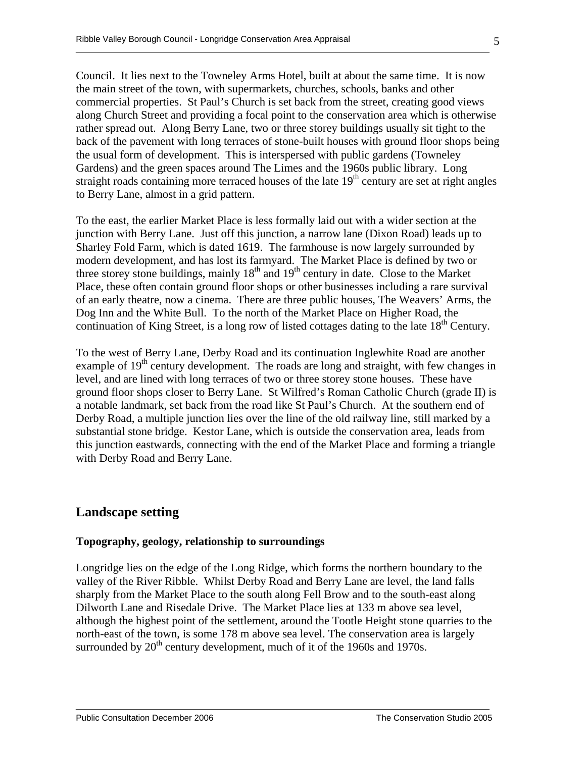Council. It lies next to the Towneley Arms Hotel, built at about the same time. It is now the main street of the town, with supermarkets, churches, schools, banks and other commercial properties. St Paul's Church is set back from the street, creating good views along Church Street and providing a focal point to the conservation area which is otherwise rather spread out. Along Berry Lane, two or three storey buildings usually sit tight to the back of the pavement with long terraces of stone-built houses with ground floor shops being the usual form of development. This is interspersed with public gardens (Towneley Gardens) and the green spaces around The Limes and the 1960s public library. Long straight roads containing more terraced houses of the late  $19<sup>th</sup>$  century are set at right angles to Berry Lane, almost in a grid pattern.

To the east, the earlier Market Place is less formally laid out with a wider section at the junction with Berry Lane. Just off this junction, a narrow lane (Dixon Road) leads up to Sharley Fold Farm, which is dated 1619. The farmhouse is now largely surrounded by modern development, and has lost its farmyard. The Market Place is defined by two or three storey stone buildings, mainly  $18<sup>th</sup>$  and  $19<sup>th</sup>$  century in date. Close to the Market Place, these often contain ground floor shops or other businesses including a rare survival of an early theatre, now a cinema. There are three public houses, The Weavers' Arms, the Dog Inn and the White Bull. To the north of the Market Place on Higher Road, the continuation of King Street, is a long row of listed cottages dating to the late 18<sup>th</sup> Century.

To the west of Berry Lane, Derby Road and its continuation Inglewhite Road are another example of  $19<sup>th</sup>$  century development. The roads are long and straight, with few changes in level, and are lined with long terraces of two or three storey stone houses. These have ground floor shops closer to Berry Lane. St Wilfred's Roman Catholic Church (grade II) is a notable landmark, set back from the road like St Paul's Church. At the southern end of Derby Road, a multiple junction lies over the line of the old railway line, still marked by a substantial stone bridge. Kestor Lane, which is outside the conservation area, leads from this junction eastwards, connecting with the end of the Market Place and forming a triangle with Derby Road and Berry Lane.

# **Landscape setting**

#### **Topography, geology, relationship to surroundings**

Longridge lies on the edge of the Long Ridge, which forms the northern boundary to the valley of the River Ribble. Whilst Derby Road and Berry Lane are level, the land falls sharply from the Market Place to the south along Fell Brow and to the south-east along Dilworth Lane and Risedale Drive. The Market Place lies at 133 m above sea level, although the highest point of the settlement, around the Tootle Height stone quarries to the north-east of the town, is some 178 m above sea level. The conservation area is largely surrounded by  $20<sup>th</sup>$  century development, much of it of the 1960s and 1970s.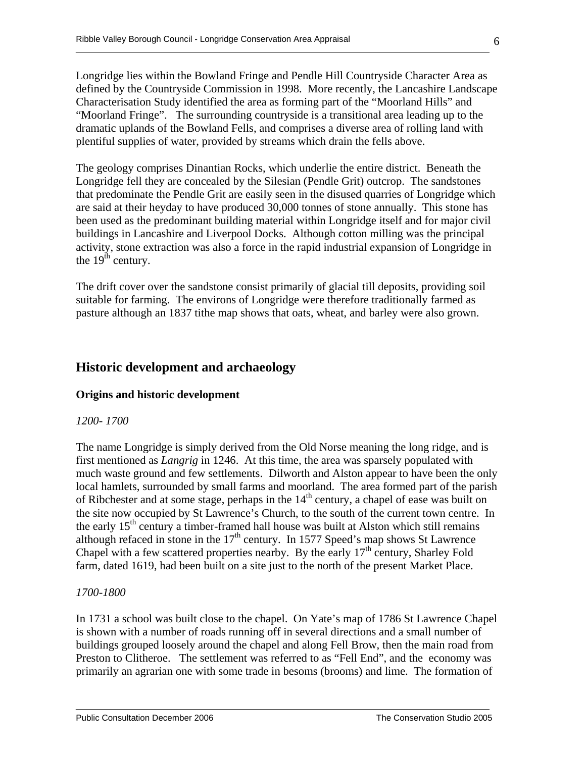Longridge lies within the Bowland Fringe and Pendle Hill Countryside Character Area as defined by the Countryside Commission in 1998. More recently, the Lancashire Landscape Characterisation Study identified the area as forming part of the "Moorland Hills" and "Moorland Fringe". The surrounding countryside is a transitional area leading up to the dramatic uplands of the Bowland Fells, and comprises a diverse area of rolling land with plentiful supplies of water, provided by streams which drain the fells above.

The geology comprises Dinantian Rocks, which underlie the entire district. Beneath the Longridge fell they are concealed by the Silesian (Pendle Grit) outcrop. The sandstones that predominate the Pendle Grit are easily seen in the disused quarries of Longridge which are said at their heyday to have produced 30,000 tonnes of stone annually. This stone has been used as the predominant building material within Longridge itself and for major civil buildings in Lancashire and Liverpool Docks. Although cotton milling was the principal activity, stone extraction was also a force in the rapid industrial expansion of Longridge in the  $19<sup>th</sup>$  century.

The drift cover over the sandstone consist primarily of glacial till deposits, providing soil suitable for farming. The environs of Longridge were therefore traditionally farmed as pasture although an 1837 tithe map shows that oats, wheat, and barley were also grown.

# **Historic development and archaeology**

## **Origins and historic development**

#### *1200- 1700*

The name Longridge is simply derived from the Old Norse meaning the long ridge, and is first mentioned as *Langrig* in 1246. At this time, the area was sparsely populated with much waste ground and few settlements. Dilworth and Alston appear to have been the only local hamlets, surrounded by small farms and moorland. The area formed part of the parish of Ribchester and at some stage, perhaps in the  $14<sup>th</sup>$  century, a chapel of ease was built on the site now occupied by St Lawrence's Church, to the south of the current town centre. In the early  $15<sup>th</sup>$  century a timber-framed hall house was built at Alston which still remains although refaced in stone in the  $17<sup>th</sup>$  century. In 1577 Speed's map shows St Lawrence Chapel with a few scattered properties nearby. By the early  $17<sup>th</sup>$  century, Sharley Fold farm, dated 1619, had been built on a site just to the north of the present Market Place.

#### *1700-1800*

In 1731 a school was built close to the chapel. On Yate's map of 1786 St Lawrence Chapel is shown with a number of roads running off in several directions and a small number of buildings grouped loosely around the chapel and along Fell Brow, then the main road from Preston to Clitheroe. The settlement was referred to as "Fell End", and the economy was primarily an agrarian one with some trade in besoms (brooms) and lime. The formation of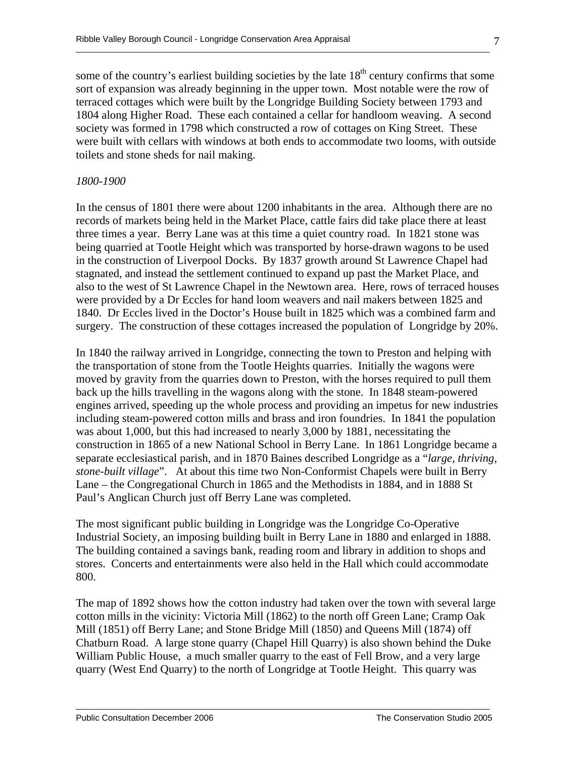some of the country's earliest building societies by the late  $18<sup>th</sup>$  century confirms that some sort of expansion was already beginning in the upper town. Most notable were the row of terraced cottages which were built by the Longridge Building Society between 1793 and 1804 along Higher Road. These each contained a cellar for handloom weaving. A second society was formed in 1798 which constructed a row of cottages on King Street. These were built with cellars with windows at both ends to accommodate two looms, with outside toilets and stone sheds for nail making.

#### *1800-1900*

In the census of 1801 there were about 1200 inhabitants in the area. Although there are no records of markets being held in the Market Place, cattle fairs did take place there at least three times a year. Berry Lane was at this time a quiet country road. In 1821 stone was being quarried at Tootle Height which was transported by horse-drawn wagons to be used in the construction of Liverpool Docks. By 1837 growth around St Lawrence Chapel had stagnated, and instead the settlement continued to expand up past the Market Place, and also to the west of St Lawrence Chapel in the Newtown area. Here, rows of terraced houses were provided by a Dr Eccles for hand loom weavers and nail makers between 1825 and 1840. Dr Eccles lived in the Doctor's House built in 1825 which was a combined farm and surgery. The construction of these cottages increased the population of Longridge by 20%.

In 1840 the railway arrived in Longridge, connecting the town to Preston and helping with the transportation of stone from the Tootle Heights quarries. Initially the wagons were moved by gravity from the quarries down to Preston, with the horses required to pull them back up the hills travelling in the wagons along with the stone. In 1848 steam-powered engines arrived, speeding up the whole process and providing an impetus for new industries including steam-powered cotton mills and brass and iron foundries. In 1841 the population was about 1,000, but this had increased to nearly 3,000 by 1881, necessitating the construction in 1865 of a new National School in Berry Lane. In 1861 Longridge became a separate ecclesiastical parish, and in 1870 Baines described Longridge as a "*large, thriving, stone-built village*". At about this time two Non-Conformist Chapels were built in Berry Lane – the Congregational Church in 1865 and the Methodists in 1884, and in 1888 St Paul's Anglican Church just off Berry Lane was completed.

The most significant public building in Longridge was the Longridge Co-Operative Industrial Society, an imposing building built in Berry Lane in 1880 and enlarged in 1888. The building contained a savings bank, reading room and library in addition to shops and stores. Concerts and entertainments were also held in the Hall which could accommodate 800.

The map of 1892 shows how the cotton industry had taken over the town with several large cotton mills in the vicinity: Victoria Mill (1862) to the north off Green Lane; Cramp Oak Mill (1851) off Berry Lane; and Stone Bridge Mill (1850) and Queens Mill (1874) off Chatburn Road. A large stone quarry (Chapel Hill Quarry) is also shown behind the Duke William Public House, a much smaller quarry to the east of Fell Brow, and a very large quarry (West End Quarry) to the north of Longridge at Tootle Height. This quarry was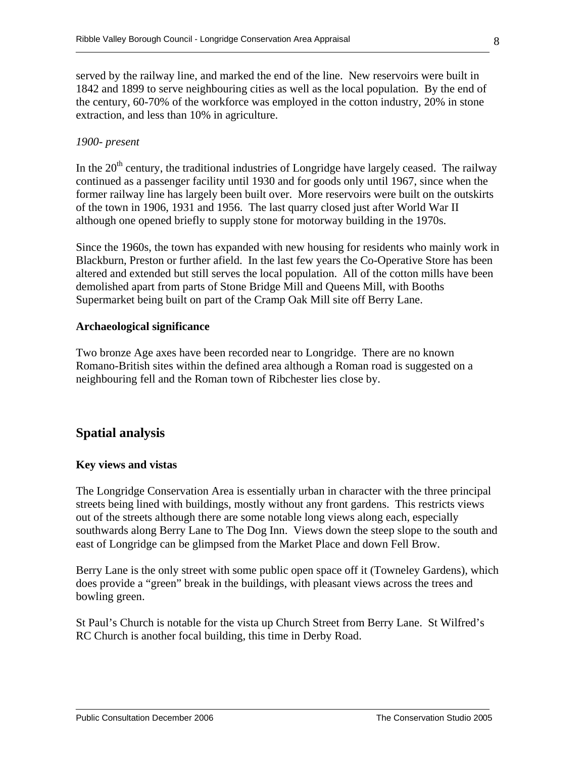served by the railway line, and marked the end of the line. New reservoirs were built in 1842 and 1899 to serve neighbouring cities as well as the local population. By the end of the century, 60-70% of the workforce was employed in the cotton industry, 20% in stone extraction, and less than 10% in agriculture.

#### *1900- present*

In the  $20<sup>th</sup>$  century, the traditional industries of Longridge have largely ceased. The railway continued as a passenger facility until 1930 and for goods only until 1967, since when the former railway line has largely been built over. More reservoirs were built on the outskirts of the town in 1906, 1931 and 1956. The last quarry closed just after World War II although one opened briefly to supply stone for motorway building in the 1970s.

Since the 1960s, the town has expanded with new housing for residents who mainly work in Blackburn, Preston or further afield. In the last few years the Co-Operative Store has been altered and extended but still serves the local population. All of the cotton mills have been demolished apart from parts of Stone Bridge Mill and Queens Mill, with Booths Supermarket being built on part of the Cramp Oak Mill site off Berry Lane.

#### **Archaeological significance**

Two bronze Age axes have been recorded near to Longridge. There are no known Romano-British sites within the defined area although a Roman road is suggested on a neighbouring fell and the Roman town of Ribchester lies close by.

# **Spatial analysis**

#### **Key views and vistas**

The Longridge Conservation Area is essentially urban in character with the three principal streets being lined with buildings, mostly without any front gardens. This restricts views out of the streets although there are some notable long views along each, especially southwards along Berry Lane to The Dog Inn. Views down the steep slope to the south and east of Longridge can be glimpsed from the Market Place and down Fell Brow.

Berry Lane is the only street with some public open space off it (Towneley Gardens), which does provide a "green" break in the buildings, with pleasant views across the trees and bowling green.

St Paul's Church is notable for the vista up Church Street from Berry Lane. St Wilfred's RC Church is another focal building, this time in Derby Road.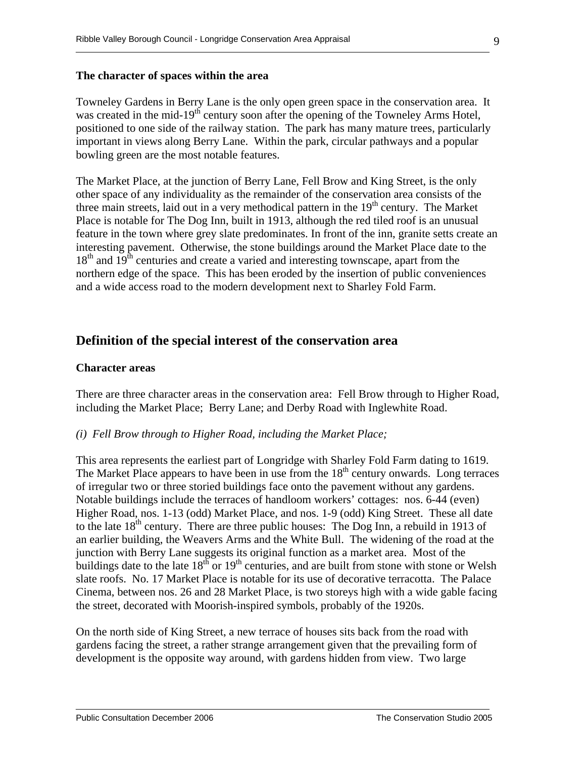#### **The character of spaces within the area**

Towneley Gardens in Berry Lane is the only open green space in the conservation area. It was created in the mid-19<sup>th</sup> century soon after the opening of the Towneley Arms Hotel, positioned to one side of the railway station. The park has many mature trees, particularly important in views along Berry Lane. Within the park, circular pathways and a popular bowling green are the most notable features.

The Market Place, at the junction of Berry Lane, Fell Brow and King Street, is the only other space of any individuality as the remainder of the conservation area consists of the three main streets, laid out in a very methodical pattern in the  $19<sup>th</sup>$  century. The Market Place is notable for The Dog Inn, built in 1913, although the red tiled roof is an unusual feature in the town where grey slate predominates. In front of the inn, granite setts create an interesting pavement. Otherwise, the stone buildings around the Market Place date to the  $18<sup>th</sup>$  and  $19<sup>th</sup>$  centuries and create a varied and interesting townscape, apart from the northern edge of the space. This has been eroded by the insertion of public conveniences and a wide access road to the modern development next to Sharley Fold Farm.

# **Definition of the special interest of the conservation area**

#### **Character areas**

There are three character areas in the conservation area: Fell Brow through to Higher Road, including the Market Place; Berry Lane; and Derby Road with Inglewhite Road.

#### *(i) Fell Brow through to Higher Road, including the Market Place;*

This area represents the earliest part of Longridge with Sharley Fold Farm dating to 1619. The Market Place appears to have been in use from the  $18<sup>th</sup>$  century onwards. Long terraces of irregular two or three storied buildings face onto the pavement without any gardens. Notable buildings include the terraces of handloom workers' cottages: nos. 6-44 (even) Higher Road, nos. 1-13 (odd) Market Place, and nos. 1-9 (odd) King Street. These all date to the late  $18<sup>th</sup>$  century. There are three public houses: The Dog Inn, a rebuild in 1913 of an earlier building, the Weavers Arms and the White Bull. The widening of the road at the junction with Berry Lane suggests its original function as a market area. Most of the buildings date to the late  $18^{th}$  or  $19^{th}$  centuries, and are built from stone with stone or Welsh slate roofs. No. 17 Market Place is notable for its use of decorative terracotta. The Palace Cinema, between nos. 26 and 28 Market Place, is two storeys high with a wide gable facing the street, decorated with Moorish-inspired symbols, probably of the 1920s.

On the north side of King Street, a new terrace of houses sits back from the road with gardens facing the street, a rather strange arrangement given that the prevailing form of development is the opposite way around, with gardens hidden from view. Two large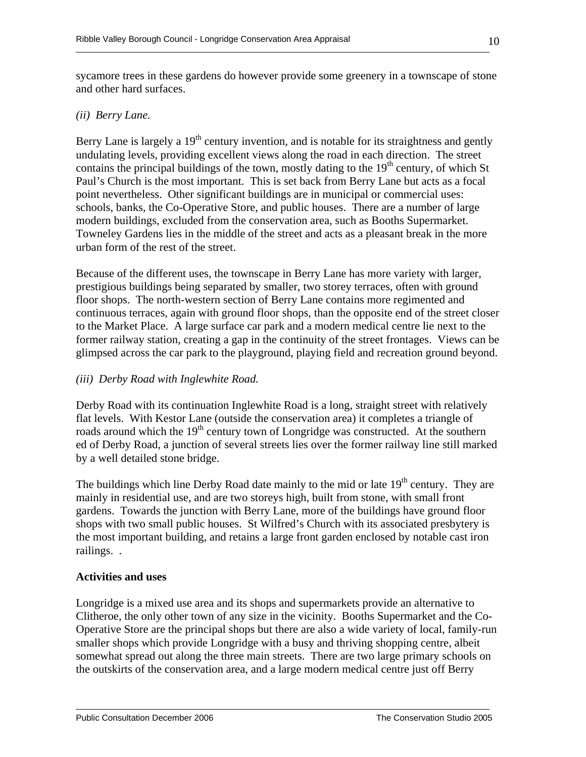sycamore trees in these gardens do however provide some greenery in a townscape of stone and other hard surfaces.

## *(ii) Berry Lane.*

Berry Lane is largely a 19<sup>th</sup> century invention, and is notable for its straightness and gently undulating levels, providing excellent views along the road in each direction. The street contains the principal buildings of the town, mostly dating to the  $19<sup>th</sup>$  century, of which St Paul's Church is the most important. This is set back from Berry Lane but acts as a focal point nevertheless. Other significant buildings are in municipal or commercial uses: schools, banks, the Co-Operative Store, and public houses. There are a number of large modern buildings, excluded from the conservation area, such as Booths Supermarket. Towneley Gardens lies in the middle of the street and acts as a pleasant break in the more urban form of the rest of the street.

Because of the different uses, the townscape in Berry Lane has more variety with larger, prestigious buildings being separated by smaller, two storey terraces, often with ground floor shops. The north-western section of Berry Lane contains more regimented and continuous terraces, again with ground floor shops, than the opposite end of the street closer to the Market Place. A large surface car park and a modern medical centre lie next to the former railway station, creating a gap in the continuity of the street frontages. Views can be glimpsed across the car park to the playground, playing field and recreation ground beyond.

## *(iii) Derby Road with Inglewhite Road.*

Derby Road with its continuation Inglewhite Road is a long, straight street with relatively flat levels. With Kestor Lane (outside the conservation area) it completes a triangle of roads around which the 19<sup>th</sup> century town of Longridge was constructed. At the southern ed of Derby Road, a junction of several streets lies over the former railway line still marked by a well detailed stone bridge.

The buildings which line Derby Road date mainly to the mid or late  $19<sup>th</sup>$  century. They are mainly in residential use, and are two storeys high, built from stone, with small front gardens. Towards the junction with Berry Lane, more of the buildings have ground floor shops with two small public houses. St Wilfred's Church with its associated presbytery is the most important building, and retains a large front garden enclosed by notable cast iron railings. .

## **Activities and uses**

Longridge is a mixed use area and its shops and supermarkets provide an alternative to Clitheroe, the only other town of any size in the vicinity. Booths Supermarket and the Co-Operative Store are the principal shops but there are also a wide variety of local, family-run smaller shops which provide Longridge with a busy and thriving shopping centre, albeit somewhat spread out along the three main streets. There are two large primary schools on the outskirts of the conservation area, and a large modern medical centre just off Berry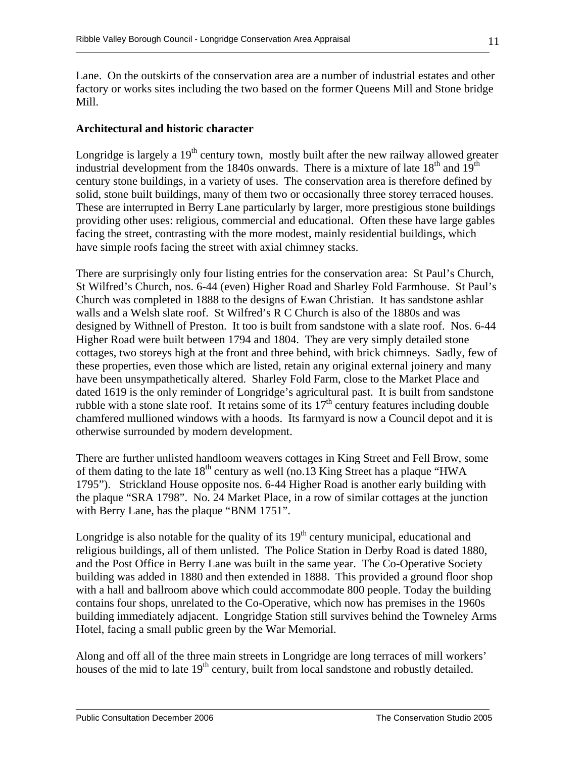Lane. On the outskirts of the conservation area are a number of industrial estates and other factory or works sites including the two based on the former Queens Mill and Stone bridge Mill.

## **Architectural and historic character**

Longridge is largely a  $19<sup>th</sup>$  century town, mostly built after the new railway allowed greater industrial development from the 1840s onwards. There is a mixture of late  $18<sup>th</sup>$  and  $19<sup>th</sup>$ century stone buildings, in a variety of uses. The conservation area is therefore defined by solid, stone built buildings, many of them two or occasionally three storey terraced houses. These are interrupted in Berry Lane particularly by larger, more prestigious stone buildings providing other uses: religious, commercial and educational. Often these have large gables facing the street, contrasting with the more modest, mainly residential buildings, which have simple roofs facing the street with axial chimney stacks.

There are surprisingly only four listing entries for the conservation area: St Paul's Church, St Wilfred's Church, nos. 6-44 (even) Higher Road and Sharley Fold Farmhouse. St Paul's Church was completed in 1888 to the designs of Ewan Christian. It has sandstone ashlar walls and a Welsh slate roof. St Wilfred's R C Church is also of the 1880s and was designed by Withnell of Preston. It too is built from sandstone with a slate roof. Nos. 6-44 Higher Road were built between 1794 and 1804. They are very simply detailed stone cottages, two storeys high at the front and three behind, with brick chimneys. Sadly, few of these properties, even those which are listed, retain any original external joinery and many have been unsympathetically altered. Sharley Fold Farm, close to the Market Place and dated 1619 is the only reminder of Longridge's agricultural past. It is built from sandstone rubble with a stone slate roof. It retains some of its  $17<sup>th</sup>$  century features including double chamfered mullioned windows with a hoods. Its farmyard is now a Council depot and it is otherwise surrounded by modern development.

There are further unlisted handloom weavers cottages in King Street and Fell Brow, some of them dating to the late  $18<sup>th</sup>$  century as well (no.13 King Street has a plaque "HWA 1795"). Strickland House opposite nos. 6-44 Higher Road is another early building with the plaque "SRA 1798". No. 24 Market Place, in a row of similar cottages at the junction with Berry Lane, has the plaque "BNM 1751".

Longridge is also notable for the quality of its  $19<sup>th</sup>$  century municipal, educational and religious buildings, all of them unlisted. The Police Station in Derby Road is dated 1880, and the Post Office in Berry Lane was built in the same year. The Co-Operative Society building was added in 1880 and then extended in 1888. This provided a ground floor shop with a hall and ballroom above which could accommodate 800 people. Today the building contains four shops, unrelated to the Co-Operative, which now has premises in the 1960s building immediately adjacent. Longridge Station still survives behind the Towneley Arms Hotel, facing a small public green by the War Memorial.

Along and off all of the three main streets in Longridge are long terraces of mill workers' houses of the mid to late 19<sup>th</sup> century, built from local sandstone and robustly detailed.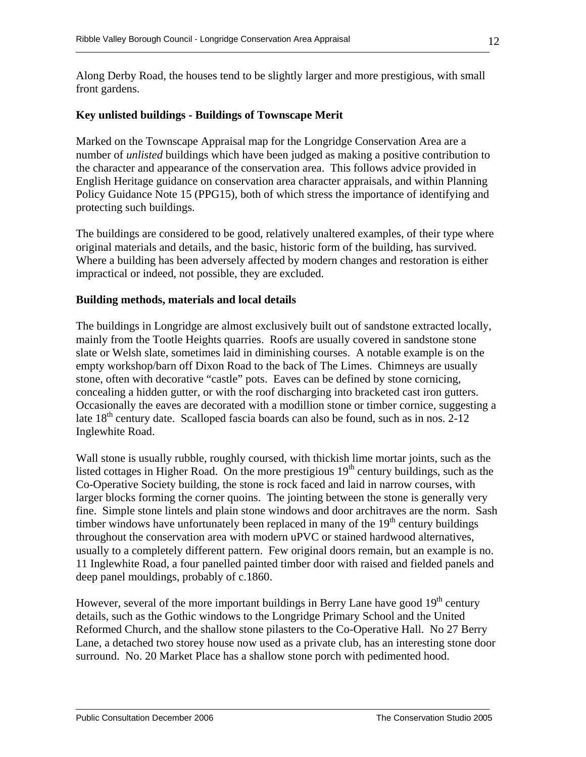Along Derby Road, the houses tend to be slightly larger and more prestigious, with small front gardens.

# **Key unlisted buildings - Buildings of Townscape Merit**

Marked on the Townscape Appraisal map for the Longridge Conservation Area are a number of *unlisted* buildings which have been judged as making a positive contribution to the character and appearance of the conservation area. This follows advice provided in English Heritage guidance on conservation area character appraisals, and within Planning Policy Guidance Note 15 (PPG15), both of which stress the importance of identifying and protecting such buildings.

The buildings are considered to be good, relatively unaltered examples, of their type where original materials and details, and the basic, historic form of the building, has survived. Where a building has been adversely affected by modern changes and restoration is either impractical or indeed, not possible, they are excluded.

# **Building methods, materials and local details**

The buildings in Longridge are almost exclusively built out of sandstone extracted locally, mainly from the Tootle Heights quarries. Roofs are usually covered in sandstone stone slate or Welsh slate, sometimes laid in diminishing courses. A notable example is on the empty workshop/barn off Dixon Road to the back of The Limes. Chimneys are usually stone, often with decorative "castle" pots. Eaves can be defined by stone cornicing, concealing a hidden gutter, or with the roof discharging into bracketed cast iron gutters. Occasionally the eaves are decorated with a modillion stone or timber cornice, suggesting a late  $18<sup>th</sup>$  century date. Scalloped fascia boards can also be found, such as in nos. 2-12 Inglewhite Road.

Wall stone is usually rubble, roughly coursed, with thickish lime mortar joints, such as the listed cottages in Higher Road. On the more prestigious  $19<sup>th</sup>$  century buildings, such as the Co-Operative Society building, the stone is rock faced and laid in narrow courses, with larger blocks forming the corner quoins. The jointing between the stone is generally very fine. Simple stone lintels and plain stone windows and door architraves are the norm. Sash timber windows have unfortunately been replaced in many of the  $19<sup>th</sup>$  century buildings throughout the conservation area with modern uPVC or stained hardwood alternatives, usually to a completely different pattern. Few original doors remain, but an example is no. 11 Inglewhite Road, a four panelled painted timber door with raised and fielded panels and deep panel mouldings, probably of c.1860.

However, several of the more important buildings in Berry Lane have good  $19<sup>th</sup>$  century details, such as the Gothic windows to the Longridge Primary School and the United Reformed Church, and the shallow stone pilasters to the Co-Operative Hall. No 27 Berry Lane, a detached two storey house now used as a private club, has an interesting stone door surround. No. 20 Market Place has a shallow stone porch with pedimented hood.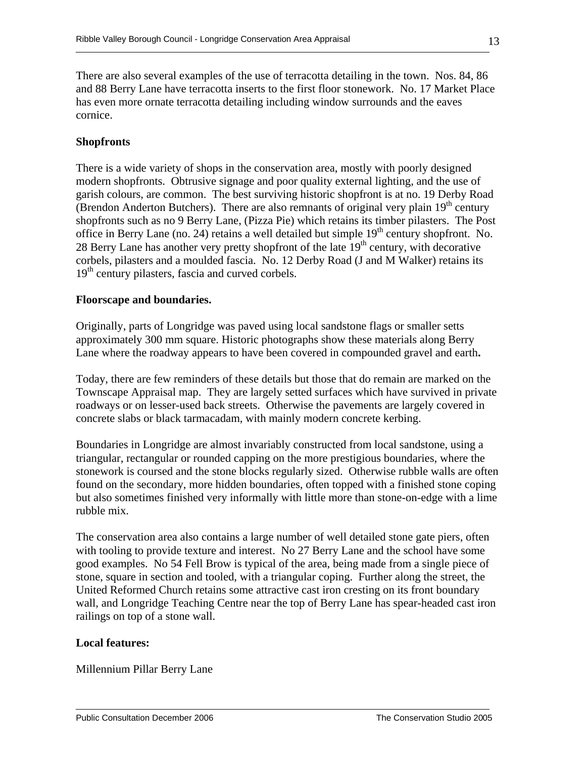There are also several examples of the use of terracotta detailing in the town. Nos. 84, 86 and 88 Berry Lane have terracotta inserts to the first floor stonework. No. 17 Market Place has even more ornate terracotta detailing including window surrounds and the eaves cornice.

## **Shopfronts**

There is a wide variety of shops in the conservation area, mostly with poorly designed modern shopfronts. Obtrusive signage and poor quality external lighting, and the use of garish colours, are common. The best surviving historic shopfront is at no. 19 Derby Road (Brendon Anderton Butchers). There are also remnants of original very plain  $19<sup>th</sup>$  century shopfronts such as no 9 Berry Lane, (Pizza Pie) which retains its timber pilasters. The Post office in Berry Lane (no. 24) retains a well detailed but simple 19<sup>th</sup> century shopfront. No. 28 Berry Lane has another very pretty shopfront of the late  $19<sup>th</sup>$  century, with decorative corbels, pilasters and a moulded fascia. No. 12 Derby Road (J and M Walker) retains its 19<sup>th</sup> century pilasters, fascia and curved corbels.

## **Floorscape and boundaries.**

Originally, parts of Longridge was paved using local sandstone flags or smaller setts approximately 300 mm square. Historic photographs show these materials along Berry Lane where the roadway appears to have been covered in compounded gravel and earth**.** 

Today, there are few reminders of these details but those that do remain are marked on the Townscape Appraisal map. They are largely setted surfaces which have survived in private roadways or on lesser-used back streets. Otherwise the pavements are largely covered in concrete slabs or black tarmacadam, with mainly modern concrete kerbing.

Boundaries in Longridge are almost invariably constructed from local sandstone, using a triangular, rectangular or rounded capping on the more prestigious boundaries, where the stonework is coursed and the stone blocks regularly sized. Otherwise rubble walls are often found on the secondary, more hidden boundaries, often topped with a finished stone coping but also sometimes finished very informally with little more than stone-on-edge with a lime rubble mix.

The conservation area also contains a large number of well detailed stone gate piers, often with tooling to provide texture and interest. No 27 Berry Lane and the school have some good examples. No 54 Fell Brow is typical of the area, being made from a single piece of stone, square in section and tooled, with a triangular coping. Further along the street, the United Reformed Church retains some attractive cast iron cresting on its front boundary wall, and Longridge Teaching Centre near the top of Berry Lane has spear-headed cast iron railings on top of a stone wall.

## **Local features:**

Millennium Pillar Berry Lane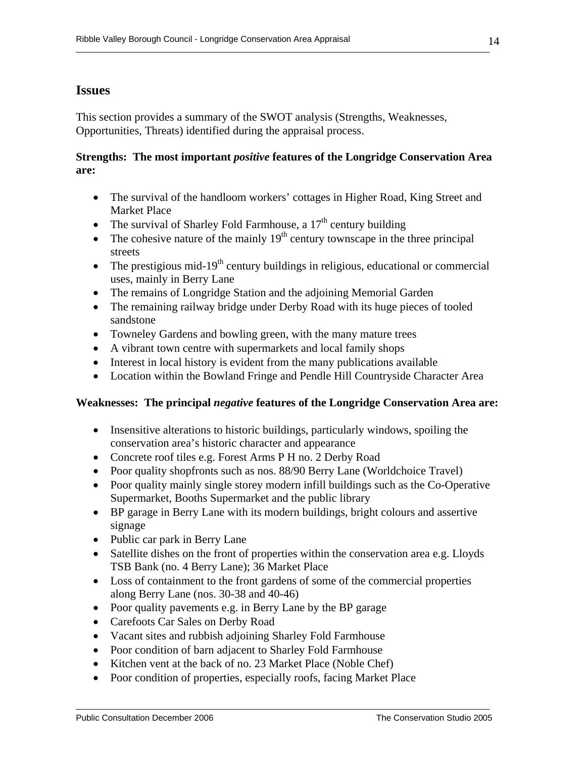# **Issues**

This section provides a summary of the SWOT analysis (Strengths, Weaknesses, Opportunities, Threats) identified during the appraisal process.

## **Strengths: The most important** *positive* **features of the Longridge Conservation Area are:**

- The survival of the handloom workers' cottages in Higher Road, King Street and Market Place
- The survival of Sharley Fold Farmhouse, a  $17<sup>th</sup>$  century building
- The cohesive nature of the mainly  $19<sup>th</sup>$  century townscape in the three principal streets
- The prestigious mid-19<sup>th</sup> century buildings in religious, educational or commercial uses, mainly in Berry Lane
- The remains of Longridge Station and the adjoining Memorial Garden
- The remaining railway bridge under Derby Road with its huge pieces of tooled sandstone
- Towneley Gardens and bowling green, with the many mature trees
- A vibrant town centre with supermarkets and local family shops
- Interest in local history is evident from the many publications available
- Location within the Bowland Fringe and Pendle Hill Countryside Character Area

## **Weaknesses: The principal** *negative* **features of the Longridge Conservation Area are:**

- Insensitive alterations to historic buildings, particularly windows, spoiling the conservation area's historic character and appearance
- Concrete roof tiles e.g. Forest Arms P H no. 2 Derby Road
- Poor quality shopfronts such as nos. 88/90 Berry Lane (Worldchoice Travel)
- Poor quality mainly single storey modern infill buildings such as the Co-Operative Supermarket, Booths Supermarket and the public library
- BP garage in Berry Lane with its modern buildings, bright colours and assertive signage
- Public car park in Berry Lane
- Satellite dishes on the front of properties within the conservation area e.g. Lloyds TSB Bank (no. 4 Berry Lane); 36 Market Place
- Loss of containment to the front gardens of some of the commercial properties along Berry Lane (nos. 30-38 and 40-46)
- Poor quality pavements e.g. in Berry Lane by the BP garage
- Carefoots Car Sales on Derby Road
- Vacant sites and rubbish adjoining Sharley Fold Farmhouse
- Poor condition of barn adjacent to Sharley Fold Farmhouse
- Kitchen vent at the back of no. 23 Market Place (Noble Chef)
- Poor condition of properties, especially roofs, facing Market Place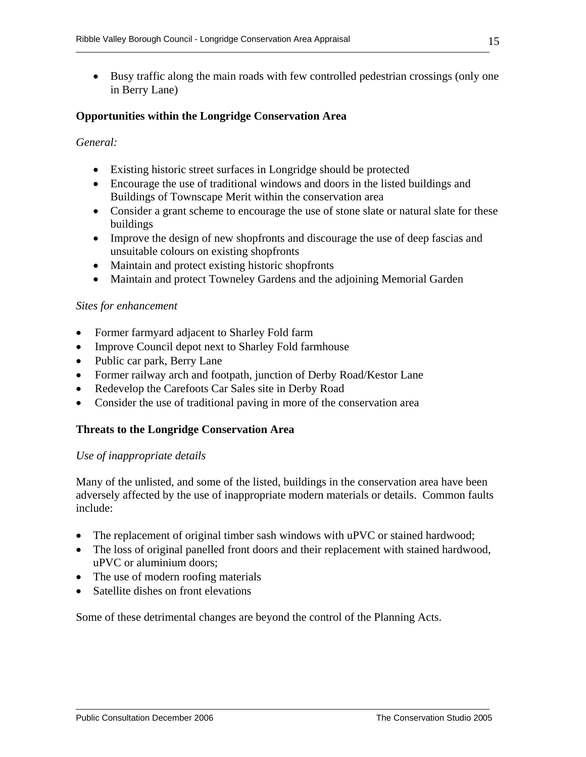• Busy traffic along the main roads with few controlled pedestrian crossings (only one in Berry Lane)

## **Opportunities within the Longridge Conservation Area**

## *General:*

- Existing historic street surfaces in Longridge should be protected
- Encourage the use of traditional windows and doors in the listed buildings and Buildings of Townscape Merit within the conservation area
- Consider a grant scheme to encourage the use of stone slate or natural slate for these buildings
- Improve the design of new shopfronts and discourage the use of deep fascias and unsuitable colours on existing shopfronts
- Maintain and protect existing historic shopfronts
- Maintain and protect Towneley Gardens and the adjoining Memorial Garden

#### *Sites for enhancement*

- Former farmyard adjacent to Sharley Fold farm
- Improve Council depot next to Sharley Fold farmhouse
- Public car park, Berry Lane
- Former railway arch and footpath, junction of Derby Road/Kestor Lane
- Redevelop the Carefoots Car Sales site in Derby Road
- Consider the use of traditional paving in more of the conservation area

#### **Threats to the Longridge Conservation Area**

#### *Use of inappropriate details*

Many of the unlisted, and some of the listed, buildings in the conservation area have been adversely affected by the use of inappropriate modern materials or details. Common faults include:

- The replacement of original timber sash windows with uPVC or stained hardwood;
- The loss of original panelled front doors and their replacement with stained hardwood, uPVC or aluminium doors;
- The use of modern roofing materials
- Satellite dishes on front elevations

Some of these detrimental changes are beyond the control of the Planning Acts.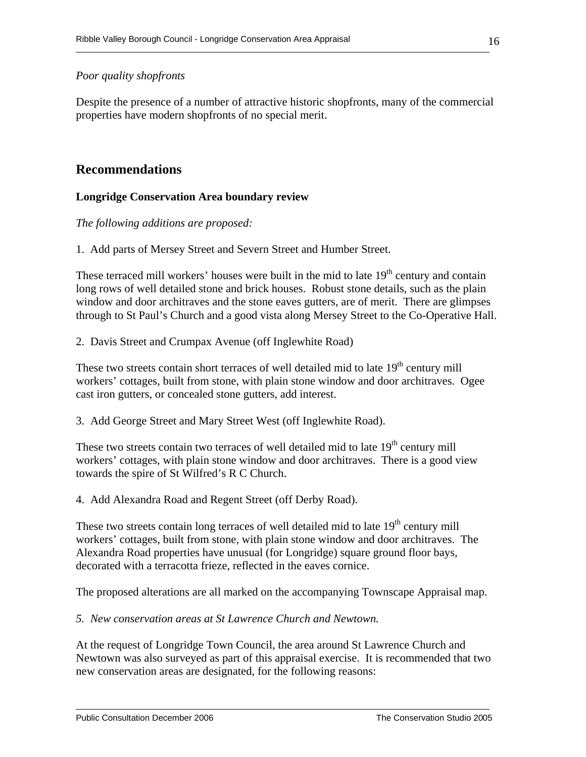## *Poor quality shopfronts*

Despite the presence of a number of attractive historic shopfronts, many of the commercial properties have modern shopfronts of no special merit.

# **Recommendations**

## **Longridge Conservation Area boundary review**

*The following additions are proposed:* 

1. Add parts of Mersey Street and Severn Street and Humber Street.

These terraced mill workers' houses were built in the mid to late  $19<sup>th</sup>$  century and contain long rows of well detailed stone and brick houses. Robust stone details, such as the plain window and door architraves and the stone eaves gutters, are of merit. There are glimpses through to St Paul's Church and a good vista along Mersey Street to the Co-Operative Hall.

2. Davis Street and Crumpax Avenue (off Inglewhite Road)

These two streets contain short terraces of well detailed mid to late  $19<sup>th</sup>$  century mill workers' cottages, built from stone, with plain stone window and door architraves. Ogee cast iron gutters, or concealed stone gutters, add interest.

3. Add George Street and Mary Street West (off Inglewhite Road).

These two streets contain two terraces of well detailed mid to late  $19<sup>th</sup>$  century mill workers' cottages, with plain stone window and door architraves. There is a good view towards the spire of St Wilfred's R C Church.

4. Add Alexandra Road and Regent Street (off Derby Road).

These two streets contain long terraces of well detailed mid to late  $19<sup>th</sup>$  century mill workers' cottages, built from stone, with plain stone window and door architraves. The Alexandra Road properties have unusual (for Longridge) square ground floor bays, decorated with a terracotta frieze, reflected in the eaves cornice.

The proposed alterations are all marked on the accompanying Townscape Appraisal map.

*5. New conservation areas at St Lawrence Church and Newtown.* 

At the request of Longridge Town Council, the area around St Lawrence Church and Newtown was also surveyed as part of this appraisal exercise. It is recommended that two new conservation areas are designated, for the following reasons: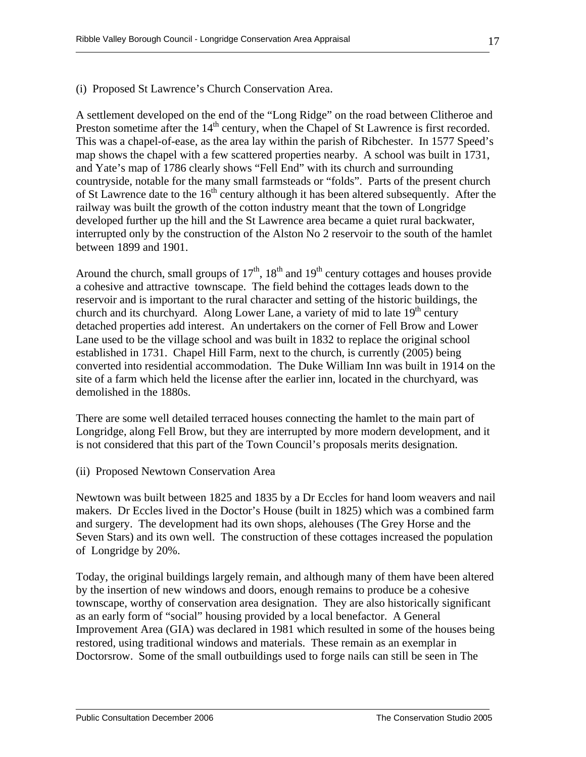#### (i) Proposed St Lawrence's Church Conservation Area.

A settlement developed on the end of the "Long Ridge" on the road between Clitheroe and Preston sometime after the 14<sup>th</sup> century, when the Chapel of St Lawrence is first recorded. This was a chapel-of-ease, as the area lay within the parish of Ribchester. In 1577 Speed's map shows the chapel with a few scattered properties nearby. A school was built in 1731, and Yate's map of 1786 clearly shows "Fell End" with its church and surrounding countryside, notable for the many small farmsteads or "folds". Parts of the present church of St Lawrence date to the 16<sup>th</sup> century although it has been altered subsequently. After the railway was built the growth of the cotton industry meant that the town of Longridge developed further up the hill and the St Lawrence area became a quiet rural backwater, interrupted only by the construction of the Alston No 2 reservoir to the south of the hamlet between 1899 and 1901.

Around the church, small groups of  $17<sup>th</sup>$ ,  $18<sup>th</sup>$  and  $19<sup>th</sup>$  century cottages and houses provide a cohesive and attractive townscape. The field behind the cottages leads down to the reservoir and is important to the rural character and setting of the historic buildings, the church and its churchyard. Along Lower Lane, a variety of mid to late  $19<sup>th</sup>$  century detached properties add interest. An undertakers on the corner of Fell Brow and Lower Lane used to be the village school and was built in 1832 to replace the original school established in 1731. Chapel Hill Farm, next to the church, is currently (2005) being converted into residential accommodation. The Duke William Inn was built in 1914 on the site of a farm which held the license after the earlier inn, located in the churchyard, was demolished in the 1880s.

There are some well detailed terraced houses connecting the hamlet to the main part of Longridge, along Fell Brow, but they are interrupted by more modern development, and it is not considered that this part of the Town Council's proposals merits designation.

(ii) Proposed Newtown Conservation Area

Newtown was built between 1825 and 1835 by a Dr Eccles for hand loom weavers and nail makers. Dr Eccles lived in the Doctor's House (built in 1825) which was a combined farm and surgery. The development had its own shops, alehouses (The Grey Horse and the Seven Stars) and its own well. The construction of these cottages increased the population of Longridge by 20%.

Today, the original buildings largely remain, and although many of them have been altered by the insertion of new windows and doors, enough remains to produce be a cohesive townscape, worthy of conservation area designation. They are also historically significant as an early form of "social" housing provided by a local benefactor. A General Improvement Area (GIA) was declared in 1981 which resulted in some of the houses being restored, using traditional windows and materials. These remain as an exemplar in Doctorsrow. Some of the small outbuildings used to forge nails can still be seen in The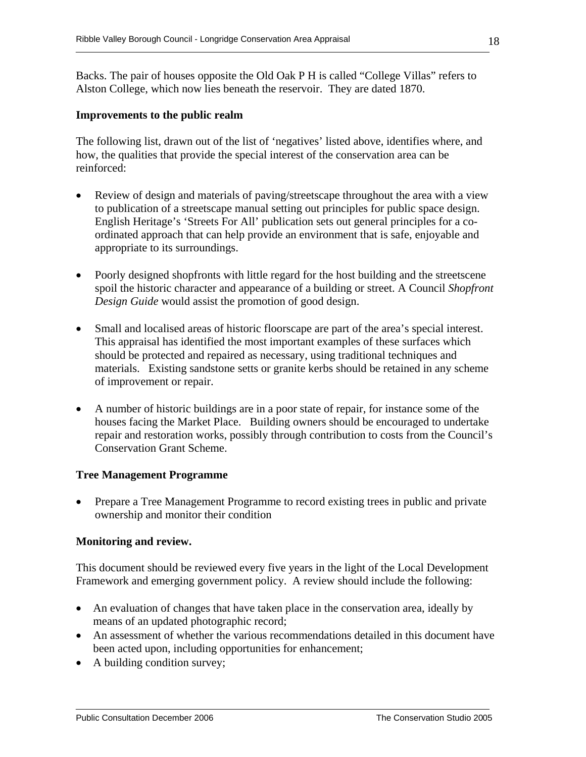Backs. The pair of houses opposite the Old Oak P H is called "College Villas" refers to Alston College, which now lies beneath the reservoir. They are dated 1870.

#### **Improvements to the public realm**

The following list, drawn out of the list of 'negatives' listed above, identifies where, and how, the qualities that provide the special interest of the conservation area can be reinforced:

- Review of design and materials of paving/streetscape throughout the area with a view to publication of a streetscape manual setting out principles for public space design. English Heritage's 'Streets For All' publication sets out general principles for a coordinated approach that can help provide an environment that is safe, enjoyable and appropriate to its surroundings.
- Poorly designed shopfronts with little regard for the host building and the streetscene spoil the historic character and appearance of a building or street. A Council *Shopfront Design Guide* would assist the promotion of good design.
- Small and localised areas of historic floorscape are part of the area's special interest. This appraisal has identified the most important examples of these surfaces which should be protected and repaired as necessary, using traditional techniques and materials. Existing sandstone setts or granite kerbs should be retained in any scheme of improvement or repair.
- A number of historic buildings are in a poor state of repair, for instance some of the houses facing the Market Place. Building owners should be encouraged to undertake repair and restoration works, possibly through contribution to costs from the Council's Conservation Grant Scheme.

#### **Tree Management Programme**

• Prepare a Tree Management Programme to record existing trees in public and private ownership and monitor their condition

#### **Monitoring and review.**

This document should be reviewed every five years in the light of the Local Development Framework and emerging government policy. A review should include the following:

- An evaluation of changes that have taken place in the conservation area, ideally by means of an updated photographic record;
- An assessment of whether the various recommendations detailed in this document have been acted upon, including opportunities for enhancement;
- A building condition survey;